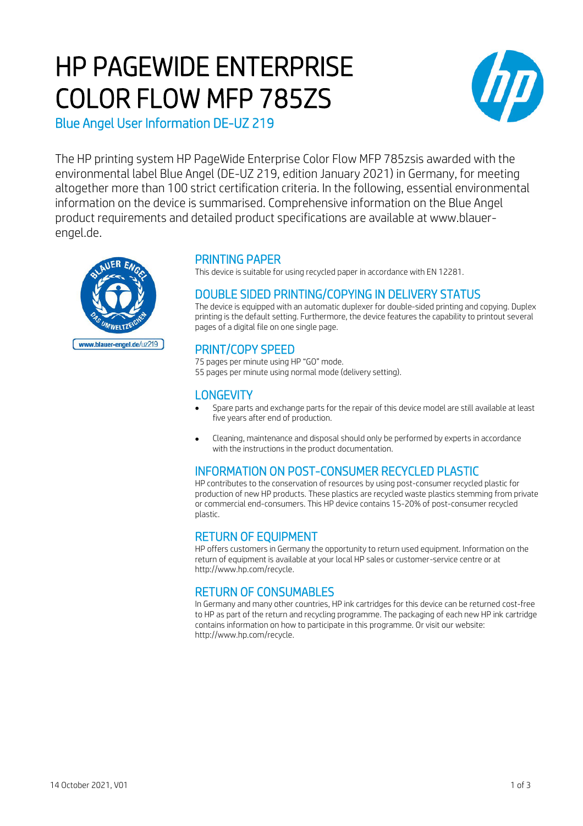# HP PAGEWIDE ENTERPRISE COLOR FLOW MFP 785ZS



Blue Angel User Information DE-UZ 219

The HP printing system HP PageWide Enterprise Color Flow MFP 785zsis awarded with the environmental label Blue Angel (DE-UZ 219, edition January 2021) in Germany, for meeting altogether more than 100 strict certification criteria. In the following, essential environmental information on the device is summarised. Comprehensive information on the Blue Angel product requirements and detailed product specifications are available at www.blauerengel.de.



## PRINTING PAPER

This device is suitable for using recycled paper in accordance with EN 12281.

# DOUBLE SIDED PRINTING/COPYING IN DELIVERY STATUS

The device is equipped with an automatic duplexer for double-sided printing and copying. Duplex printing is the default setting. Furthermore, the device features the capability to printout several pages of a digital file on one single page.

# PRINT/COPY SPEED

75 pages per minute using HP "GO" mode. 55 pages per minute using normal mode (delivery setting).

# **LONGEVITY**

- Spare parts and exchange parts for the repair of this device model are still available at least five years after end of production.
- Cleaning, maintenance and disposal should only be performed by experts in accordance with the instructions in the product documentation.

# INFORMATION ON POST-CONSUMER RECYCLED PLASTIC

HP contributes to the conservation of resources by using post-consumer recycled plastic for production of new HP products. These plastics are recycled waste plastics stemming from private or commercial end-consumers. This HP device contains 15-20% of post-consumer recycled plastic.

# RETURN OF EQUIPMENT

HP offers customers in Germany the opportunity to return used equipment. Information on the return of equipment is available at your local HP sales or customer-service centre or at http://www.hp.com/recycle.

# RETURN OF CONSUMABLES

In Germany and many other countries, HP ink cartridges for this device can be returned cost-free to HP as part of the return and recycling programme. The packaging of each new HP ink cartridge contains information on how to participate in this programme. Or visit our website: http://www.hp.com/recycle.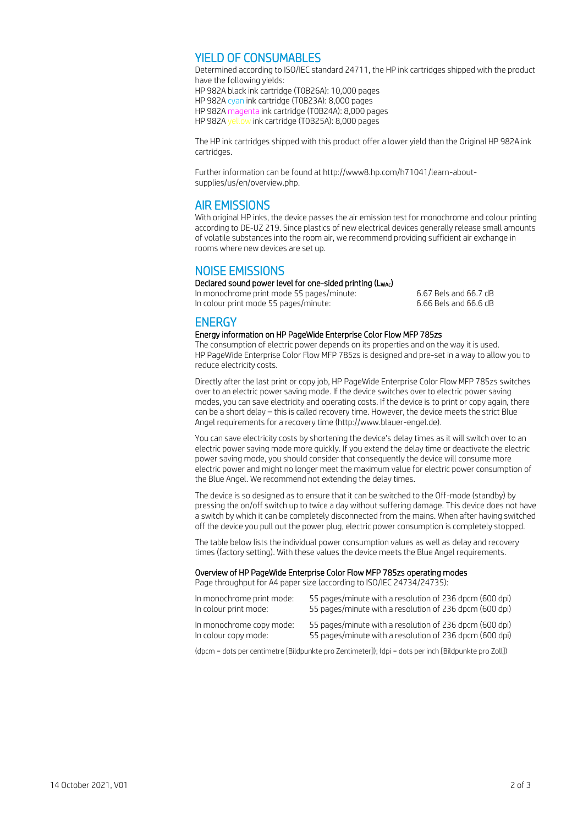### YIELD OF CONSUMABLES

Determined according to ISO/IEC standard 24711, the HP ink cartridges shipped with the product have the following yields:

HP 982A black ink cartridge (T0B26A): 10,000 pages HP 982A cyan ink cartridge (T0B23A): 8,000 pages HP 982A magenta ink cartridge (T0B24A): 8,000 pages HP 982A yellow ink cartridge (T0B25A): 8,000 pages

The HP ink cartridges shipped with this product offer a lower yield than the Original HP 982A ink cartridges.

Further information can be found at http://www8.hp.com/h71041/learn-aboutsupplies/us/en/overview.php.

#### AIR EMISSIONS

With original HP inks, the device passes the air emission test for monochrome and colour printing according to DE-UZ 219. Since plastics of new electrical devices generally release small amounts of volatile substances into the room air, we recommend providing sufficient air exchange in rooms where new devices are set up.

## NOISE EMISSIONS

#### Declared sound power level for one-sided printing (LWAc)

In monochrome print mode 55 pages/minute: 6.67 Bels and 66.7 dB In colour print mode 55 pages/minute: 6.66 Bels and 66.6 dB

## **ENERGY**

#### Energy information on HP PageWide Enterprise Color Flow MFP 785zs

The consumption of electric power depends on its properties and on the way it is used. HP PageWide Enterprise Color Flow MFP 785zs is designed and pre-set in a way to allow you to reduce electricity costs.

Directly after the last print or copy job, HP PageWide Enterprise Color Flow MFP 785zs switches over to an electric power saving mode. If the device switches over to electric power saving modes, you can save electricity and operating costs. If the device is to print or copy again, there can be a short delay – this is called recovery time. However, the device meets the strict Blue Angel requirements for a recovery time (http://www.blauer-engel.de).

You can save electricity costs by shortening the device's delay times as it will switch over to an electric power saving mode more quickly. If you extend the delay time or deactivate the electric power saving mode, you should consider that consequently the device will consume more electric power and might no longer meet the maximum value for electric power consumption of the Blue Angel. We recommend not extending the delay times.

The device is so designed as to ensure that it can be switched to the Off-mode (standby) by pressing the on/off switch up to twice a day without suffering damage. This device does not have a switch by which it can be completely disconnected from the mains. When after having switched off the device you pull out the power plug, electric power consumption is completely stopped.

The table below lists the individual power consumption values as well as delay and recovery times (factory setting). With these values the device meets the Blue Angel requirements.

#### Overview of HP PageWide Enterprise Color Flow MFP 785zs operating modes

Page throughput for A4 paper size (according to ISO/IEC 24734/24735):

| In monochrome print mode: | 55 pages/minute with a resolution of 236 dpcm (600 dpi) |
|---------------------------|---------------------------------------------------------|
| In colour print mode:     | 55 pages/minute with a resolution of 236 dpcm (600 dpi) |
| In monochrome copy mode:  | 55 pages/minute with a resolution of 236 dpcm (600 dpi) |
| In colour copy mode:      | 55 pages/minute with a resolution of 236 dpcm (600 dpi) |

(dpcm = dots per centimetre [Bildpunkte pro Zentimeter]); (dpi = dots per inch [Bildpunkte pro Zoll])